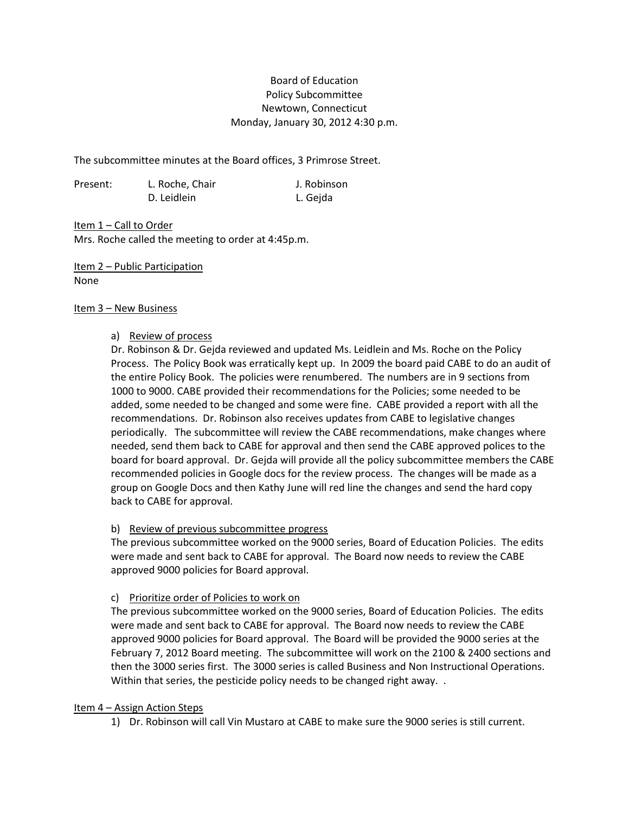# Board of Education Policy Subcommittee Newtown, Connecticut Monday, January 30, 2012 4:30 p.m.

The subcommittee minutes at the Board offices, 3 Primrose Street.

| Present: | L. Roche, Chair | J. Robinson |
|----------|-----------------|-------------|
|          | D. Leidlein     | L. Gejda    |

Item 1 - Call to Order Mrs. Roche called the meeting to order at 4:45p.m.

Item 2 – Public Participation None

### Item 3 – New Business

## a) Review of process

Dr. Robinson & Dr. Gejda reviewed and updated Ms. Leidlein and Ms. Roche on the Policy Process. The Policy Book was erratically kept up. In 2009 the board paid CABE to do an audit of the entire Policy Book. The policies were renumbered. The numbers are in 9 sections from 1000 to 9000. CABE provided their recommendations for the Policies; some needed to be added, some needed to be changed and some were fine. CABE provided a report with all the recommendations. Dr. Robinson also receives updates from CABE to legislative changes periodically. The subcommittee will review the CABE recommendations, make changes where needed, send them back to CABE for approval and then send the CABE approved polices to the board for board approval. Dr. Gejda will provide all the policy subcommittee members the CABE recommended policies in Google docs for the review process. The changes will be made as a group on Google Docs and then Kathy June will red line the changes and send the hard copy back to CABE for approval.

## b) Review of previous subcommittee progress

The previous subcommittee worked on the 9000 series, Board of Education Policies. The edits were made and sent back to CABE for approval. The Board now needs to review the CABE approved 9000 policies for Board approval.

## c) Prioritize order of Policies to work on

The previous subcommittee worked on the 9000 series, Board of Education Policies. The edits were made and sent back to CABE for approval. The Board now needs to review the CABE approved 9000 policies for Board approval. The Board will be provided the 9000 series at the February 7, 2012 Board meeting. The subcommittee will work on the 2100 & 2400 sections and then the 3000 series first. The 3000 series is called Business and Non Instructional Operations. Within that series, the pesticide policy needs to be changed right away...

## Item 4 – Assign Action Steps

1) Dr. Robinson will call Vin Mustaro at CABE to make sure the 9000 series is still current.